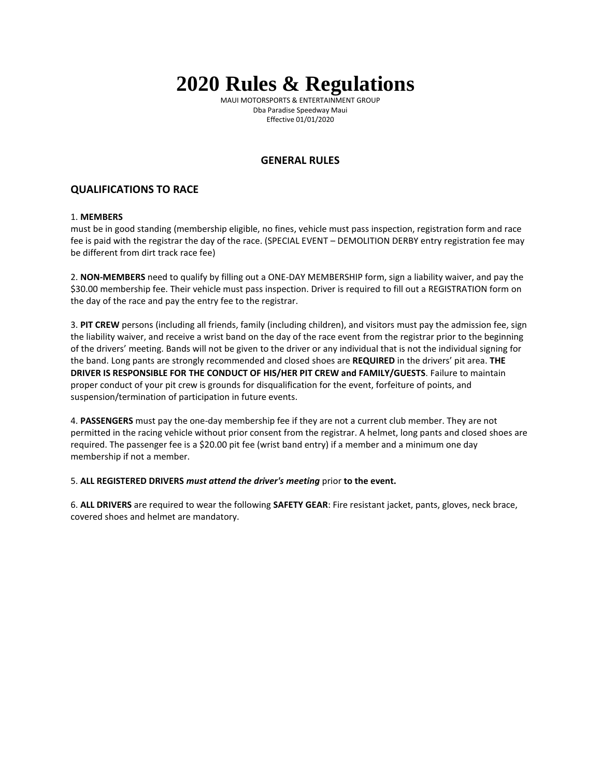# **2020 Rules & Regulations**

MAUI MOTORSPORTS & ENTERTAINMENT GROUP Dba Paradise Speedway Maui Effective 01/01/2020

## **GENERAL RULES**

# **QUALIFICATIONS TO RACE**

### 1. **MEMBERS**

must be in good standing (membership eligible, no fines, vehicle must pass inspection, registration form and race fee is paid with the registrar the day of the race. (SPECIAL EVENT – DEMOLITION DERBY entry registration fee may be different from dirt track race fee)

2. **NON-MEMBERS** need to qualify by filling out a ONE-DAY MEMBERSHIP form, sign a liability waiver, and pay the \$30.00 membership fee. Their vehicle must pass inspection. Driver is required to fill out a REGISTRATION form on the day of the race and pay the entry fee to the registrar.

3. **PIT CREW** persons (including all friends, family (including children), and visitors must pay the admission fee, sign the liability waiver, and receive a wrist band on the day of the race event from the registrar prior to the beginning of the drivers' meeting. Bands will not be given to the driver or any individual that is not the individual signing for the band. Long pants are strongly recommended and closed shoes are **REQUIRED** in the drivers' pit area. **THE DRIVER IS RESPONSIBLE FOR THE CONDUCT OF HIS/HER PIT CREW and FAMILY/GUESTS**. Failure to maintain proper conduct of your pit crew is grounds for disqualification for the event, forfeiture of points, and suspension/termination of participation in future events.

4. **PASSENGERS** must pay the one-day membership fee if they are not a current club member. They are not permitted in the racing vehicle without prior consent from the registrar. A helmet, long pants and closed shoes are required. The passenger fee is a \$20.00 pit fee (wrist band entry) if a member and a minimum one day membership if not a member.

5. **ALL REGISTERED DRIVERS** *must attend the driver's meeting* prior **to the event.**

6. **ALL DRIVERS** are required to wear the following **SAFETY GEAR**: Fire resistant jacket, pants, gloves, neck brace, covered shoes and helmet are mandatory.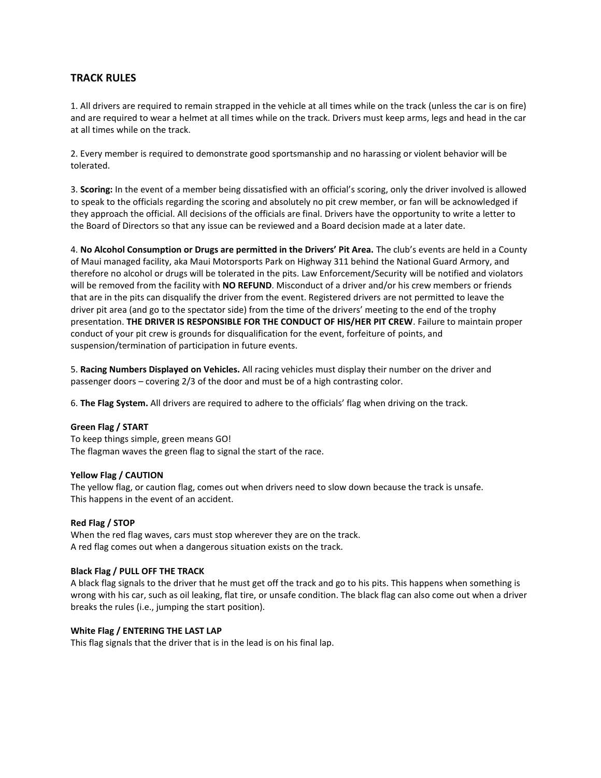## **TRACK RULES**

1. All drivers are required to remain strapped in the vehicle at all times while on the track (unless the car is on fire) and are required to wear a helmet at all times while on the track. Drivers must keep arms, legs and head in the car at all times while on the track.

2. Every member is required to demonstrate good sportsmanship and no harassing or violent behavior will be tolerated.

3. **Scoring:** In the event of a member being dissatisfied with an official's scoring, only the driver involved is allowed to speak to the officials regarding the scoring and absolutely no pit crew member, or fan will be acknowledged if they approach the official. All decisions of the officials are final. Drivers have the opportunity to write a letter to the Board of Directors so that any issue can be reviewed and a Board decision made at a later date.

4. **No Alcohol Consumption or Drugs are permitted in the Drivers' Pit Area.** The club's events are held in a County of Maui managed facility, aka Maui Motorsports Park on Highway 311 behind the National Guard Armory, and therefore no alcohol or drugs will be tolerated in the pits. Law Enforcement/Security will be notified and violators will be removed from the facility with **NO REFUND**. Misconduct of a driver and/or his crew members or friends that are in the pits can disqualify the driver from the event. Registered drivers are not permitted to leave the driver pit area (and go to the spectator side) from the time of the drivers' meeting to the end of the trophy presentation. **THE DRIVER IS RESPONSIBLE FOR THE CONDUCT OF HIS/HER PIT CREW**. Failure to maintain proper conduct of your pit crew is grounds for disqualification for the event, forfeiture of points, and suspension/termination of participation in future events.

5. **Racing Numbers Displayed on Vehicles.** All racing vehicles must display their number on the driver and passenger doors – covering 2/3 of the door and must be of a high contrasting color.

6. **The Flag System.** All drivers are required to adhere to the officials' flag when driving on the track.

#### **Green Flag / START**

To keep things simple, green means GO! The flagman waves the green flag to signal the start of the race.

#### **Yellow Flag / CAUTION**

The yellow flag, or caution flag, comes out when drivers need to slow down because the track is unsafe. This happens in the event of an accident.

#### **Red Flag / STOP**

When the red flag waves, cars must stop wherever they are on the track. A red flag comes out when a dangerous situation exists on the track.

#### **Black Flag / PULL OFF THE TRACK**

A black flag signals to the driver that he must get off the track and go to his pits. This happens when something is wrong with his car, such as oil leaking, flat tire, or unsafe condition. The black flag can also come out when a driver breaks the rules (i.e., jumping the start position).

#### **White Flag / ENTERING THE LAST LAP**

This flag signals that the driver that is in the lead is on his final lap.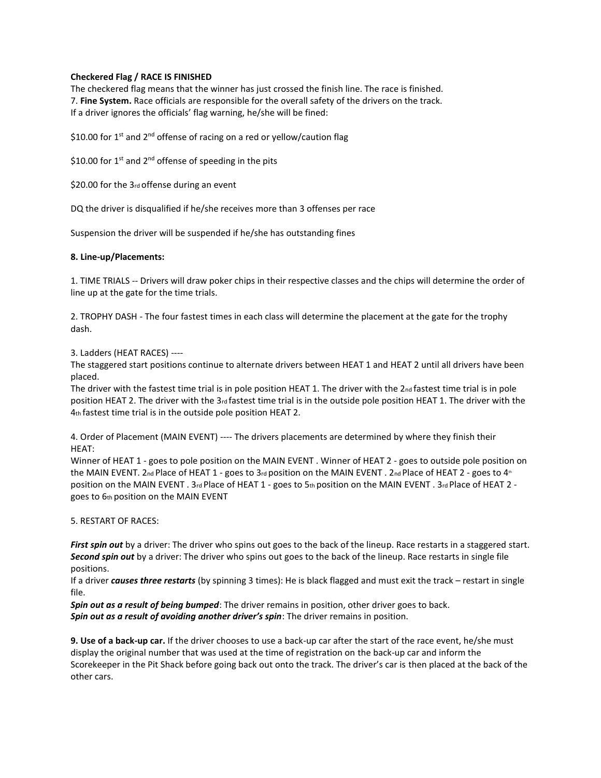#### **Checkered Flag / RACE IS FINISHED**

The checkered flag means that the winner has just crossed the finish line. The race is finished. 7. **Fine System.** Race officials are responsible for the overall safety of the drivers on the track. If a driver ignores the officials' flag warning, he/she will be fined:

\$10.00 for 1<sup>st</sup> and 2<sup>nd</sup> offense of racing on a red or yellow/caution flag

\$10.00 for 1<sup>st</sup> and 2<sup>nd</sup> offense of speeding in the pits

\$20.00 for the 3rd offense during an event

DQ the driver is disqualified if he/she receives more than 3 offenses per race

Suspension the driver will be suspended if he/she has outstanding fines

#### **8. Line-up/Placements:**

1. TIME TRIALS -- Drivers will draw poker chips in their respective classes and the chips will determine the order of line up at the gate for the time trials.

2. TROPHY DASH - The four fastest times in each class will determine the placement at the gate for the trophy dash.

3. Ladders (HEAT RACES) ----

The staggered start positions continue to alternate drivers between HEAT 1 and HEAT 2 until all drivers have been placed.

The driver with the fastest time trial is in pole position HEAT 1. The driver with the 2nd fastest time trial is in pole position HEAT 2. The driver with the 3rd fastest time trial is in the outside pole position HEAT 1. The driver with the 4th fastest time trial is in the outside pole position HEAT 2.

4. Order of Placement (MAIN EVENT) ---- The drivers placements are determined by where they finish their HEAT:

Winner of HEAT 1 - goes to pole position on the MAIN EVENT . Winner of HEAT 2 - goes to outside pole position on the MAIN EVENT. 2nd Place of HEAT 1 - goes to 3rd position on the MAIN EVENT . 2nd Place of HEAT 2 - goes to 4<sup>th</sup> position on the MAIN EVENT . 3rd Place of HEAT 1 - goes to 5th position on the MAIN EVENT . 3rd Place of HEAT 2 goes to 6th position on the MAIN EVENT

5. RESTART OF RACES:

First spin out by a driver: The driver who spins out goes to the back of the lineup. Race restarts in a staggered start. *Second spin out* by a driver: The driver who spins out goes to the back of the lineup. Race restarts in single file positions.

If a driver *causes three restarts* (by spinning 3 times): He is black flagged and must exit the track – restart in single file.

*Spin out as a result of being bumped*: The driver remains in position, other driver goes to back. *Spin out as a result of avoiding another driver's spin*: The driver remains in position.

**9. Use of a back-up car.** If the driver chooses to use a back-up car after the start of the race event, he/she must display the original number that was used at the time of registration on the back-up car and inform the Scorekeeper in the Pit Shack before going back out onto the track. The driver's car is then placed at the back of the other cars.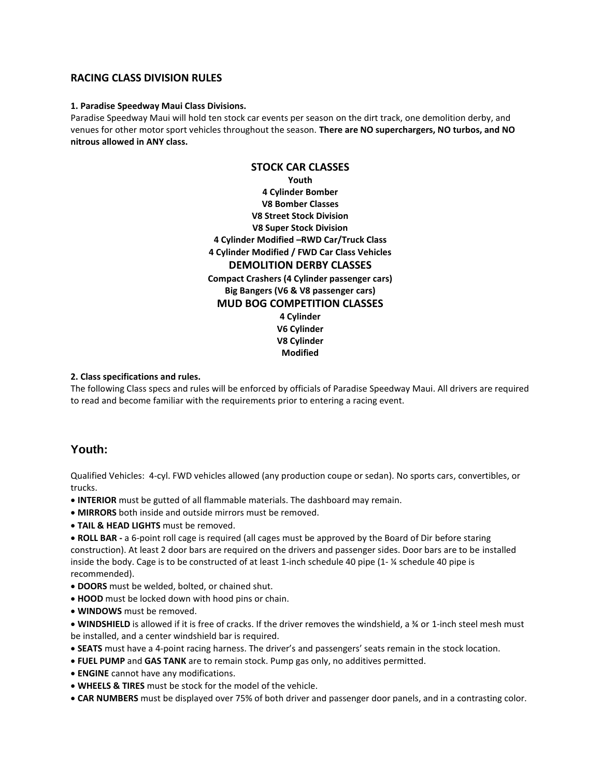## **RACING CLASS DIVISION RULES**

#### **1. Paradise Speedway Maui Class Divisions.**

Paradise Speedway Maui will hold ten stock car events per season on the dirt track, one demolition derby, and venues for other motor sport vehicles throughout the season. **There are NO superchargers, NO turbos, and NO nitrous allowed in ANY class.**

> **STOCK CAR CLASSES Youth 4 Cylinder Bomber V8 Bomber Classes V8 Street Stock Division V8 Super Stock Division 4 Cylinder Modified –RWD Car/Truck Class 4 Cylinder Modified / FWD Car Class Vehicles DEMOLITION DERBY CLASSES Compact Crashers (4 Cylinder passenger cars) Big Bangers (V6 & V8 passenger cars) MUD BOG COMPETITION CLASSES 4 Cylinder V6 Cylinder V8 Cylinder Modified**

#### **2. Class specifications and rules.**

The following Class specs and rules will be enforced by officials of Paradise Speedway Maui. All drivers are required to read and become familiar with the requirements prior to entering a racing event.

## **Youth:**

Qualified Vehicles: 4-cyl. FWD vehicles allowed (any production coupe or sedan). No sports cars, convertibles, or trucks.

- **INTERIOR** must be gutted of all flammable materials. The dashboard may remain.
- **MIRRORS** both inside and outside mirrors must be removed.
- **TAIL & HEAD LIGHTS** must be removed.

• **ROLL BAR -** a 6-point roll cage is required (all cages must be approved by the Board of Dir before staring construction). At least 2 door bars are required on the drivers and passenger sides. Door bars are to be installed inside the body. Cage is to be constructed of at least 1-inch schedule 40 pipe (1- ¼ schedule 40 pipe is recommended).

- **DOORS** must be welded, bolted, or chained shut.
- **HOOD** must be locked down with hood pins or chain.
- **WINDOWS** must be removed.

• **WINDSHIELD** is allowed if it is free of cracks. If the driver removes the windshield, a ¾ or 1-inch steel mesh must be installed, and a center windshield bar is required.

- **SEATS** must have a 4-point racing harness. The driver's and passengers' seats remain in the stock location.
- **FUEL PUMP** and **GAS TANK** are to remain stock. Pump gas only, no additives permitted.
- **ENGINE** cannot have any modifications.
- **WHEELS & TIRES** must be stock for the model of the vehicle.
- **CAR NUMBERS** must be displayed over 75% of both driver and passenger door panels, and in a contrasting color.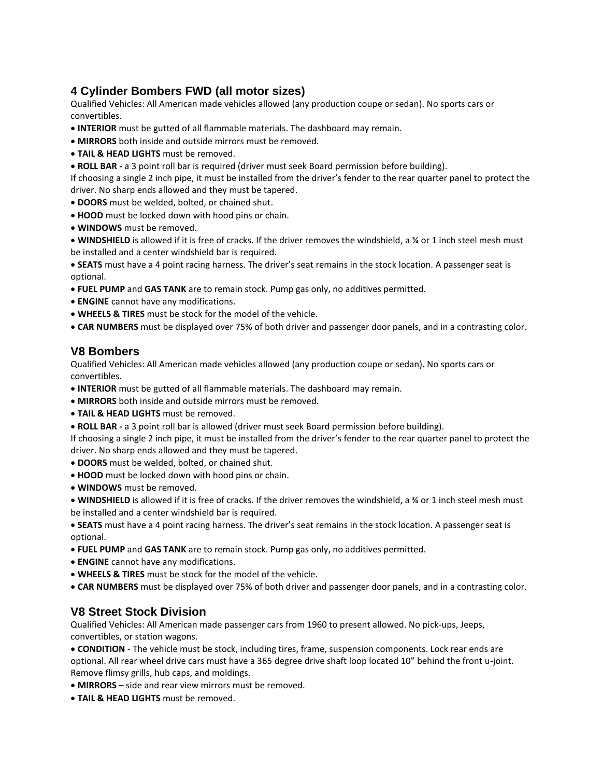# **4 Cylinder Bombers FWD (all motor sizes)**

Qualified Vehicles: All American made vehicles allowed (any production coupe or sedan). No sports cars or convertibles.

- **INTERIOR** must be gutted of all flammable materials. The dashboard may remain.
- **MIRRORS** both inside and outside mirrors must be removed.
- **TAIL & HEAD LIGHTS** must be removed.
- **ROLL BAR -** a 3 point roll bar is required (driver must seek Board permission before building).

If choosing a single 2 inch pipe, it must be installed from the driver's fender to the rear quarter panel to protect the driver. No sharp ends allowed and they must be tapered.

- **DOORS** must be welded, bolted, or chained shut.
- **HOOD** must be locked down with hood pins or chain.
- **WINDOWS** must be removed.

• **WINDSHIELD** is allowed if it is free of cracks. If the driver removes the windshield, a ¾ or 1 inch steel mesh must be installed and a center windshield bar is required.

• **SEATS** must have a 4 point racing harness. The driver's seat remains in the stock location. A passenger seat is optional.

- **FUEL PUMP** and **GAS TANK** are to remain stock. Pump gas only, no additives permitted.
- **ENGINE** cannot have any modifications.
- **WHEELS & TIRES** must be stock for the model of the vehicle.
- **CAR NUMBERS** must be displayed over 75% of both driver and passenger door panels, and in a contrasting color.

# **V8 Bombers**

Qualified Vehicles: All American made vehicles allowed (any production coupe or sedan). No sports cars or convertibles.

- **INTERIOR** must be gutted of all flammable materials. The dashboard may remain.
- **MIRRORS** both inside and outside mirrors must be removed.
- **TAIL & HEAD LIGHTS** must be removed.
- **ROLL BAR -** a 3 point roll bar is allowed (driver must seek Board permission before building).
- If choosing a single 2 inch pipe, it must be installed from the driver's fender to the rear quarter panel to protect the driver. No sharp ends allowed and they must be tapered.
- **DOORS** must be welded, bolted, or chained shut.
- **HOOD** must be locked down with hood pins or chain.
- **WINDOWS** must be removed.

• **WINDSHIELD** is allowed if it is free of cracks. If the driver removes the windshield, a ¾ or 1 inch steel mesh must be installed and a center windshield bar is required.

• **SEATS** must have a 4 point racing harness. The driver's seat remains in the stock location. A passenger seat is optional.

- **FUEL PUMP** and **GAS TANK** are to remain stock. Pump gas only, no additives permitted.
- **ENGINE** cannot have any modifications.
- **WHEELS & TIRES** must be stock for the model of the vehicle.
- **CAR NUMBERS** must be displayed over 75% of both driver and passenger door panels, and in a contrasting color.

# **V8 Street Stock Division**

Qualified Vehicles: All American made passenger cars from 1960 to present allowed. No pick-ups, Jeeps, convertibles, or station wagons.

• **CONDITION** - The vehicle must be stock, including tires, frame, suspension components. Lock rear ends are optional. All rear wheel drive cars must have a 365 degree drive shaft loop located 10" behind the front u-joint. Remove flimsy grills, hub caps, and moldings.

- **MIRRORS**  side and rear view mirrors must be removed.
- **TAIL & HEAD LIGHTS** must be removed.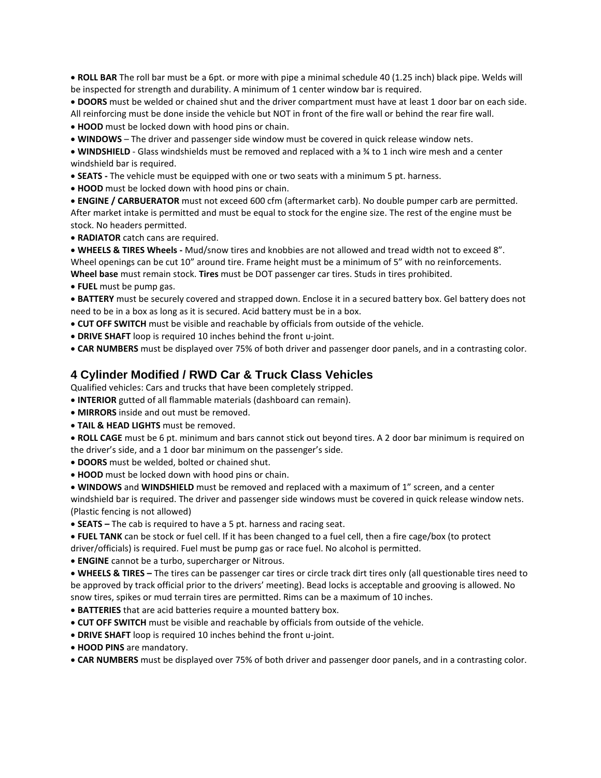• **ROLL BAR** The roll bar must be a 6pt. or more with pipe a minimal schedule 40 (1.25 inch) black pipe. Welds will be inspected for strength and durability. A minimum of 1 center window bar is required.

• **DOORS** must be welded or chained shut and the driver compartment must have at least 1 door bar on each side. All reinforcing must be done inside the vehicle but NOT in front of the fire wall or behind the rear fire wall. • **HOOD** must be locked down with hood pins or chain.

• **WINDOWS** – The driver and passenger side window must be covered in quick release window nets.

• **WINDSHIELD** - Glass windshields must be removed and replaced with a ¾ to 1 inch wire mesh and a center windshield bar is required.

• **SEATS -** The vehicle must be equipped with one or two seats with a minimum 5 pt. harness.

• **HOOD** must be locked down with hood pins or chain.

• **ENGINE / CARBUERATOR** must not exceed 600 cfm (aftermarket carb). No double pumper carb are permitted. After market intake is permitted and must be equal to stock for the engine size. The rest of the engine must be stock. No headers permitted.

• **RADIATOR** catch cans are required.

• **WHEELS & TIRES Wheels -** Mud/snow tires and knobbies are not allowed and tread width not to exceed 8". Wheel openings can be cut 10" around tire. Frame height must be a minimum of 5" with no reinforcements.

**Wheel base** must remain stock. **Tires** must be DOT passenger car tires. Studs in tires prohibited.

• **FUEL** must be pump gas.

• **BATTERY** must be securely covered and strapped down. Enclose it in a secured battery box. Gel battery does not need to be in a box as long as it is secured. Acid battery must be in a box.

• **CUT OFF SWITCH** must be visible and reachable by officials from outside of the vehicle.

• **DRIVE SHAFT** loop is required 10 inches behind the front u-joint.

• **CAR NUMBERS** must be displayed over 75% of both driver and passenger door panels, and in a contrasting color.

# **4 Cylinder Modified / RWD Car & Truck Class Vehicles**

Qualified vehicles: Cars and trucks that have been completely stripped.

- **INTERIOR** gutted of all flammable materials (dashboard can remain).
- **MIRRORS** inside and out must be removed.
- **TAIL & HEAD LIGHTS** must be removed.

• **ROLL CAGE** must be 6 pt. minimum and bars cannot stick out beyond tires. A 2 door bar minimum is required on the driver's side, and a 1 door bar minimum on the passenger's side.

• **DOORS** must be welded, bolted or chained shut.

• **HOOD** must be locked down with hood pins or chain.

• **WINDOWS** and **WINDSHIELD** must be removed and replaced with a maximum of 1" screen, and a center windshield bar is required. The driver and passenger side windows must be covered in quick release window nets. (Plastic fencing is not allowed)

• **SEATS –** The cab is required to have a 5 pt. harness and racing seat.

• **FUEL TANK** can be stock or fuel cell. If it has been changed to a fuel cell, then a fire cage/box (to protect driver/officials) is required. Fuel must be pump gas or race fuel. No alcohol is permitted.

• **ENGINE** cannot be a turbo, supercharger or Nitrous.

• **WHEELS & TIRES –** The tires can be passenger car tires or circle track dirt tires only (all questionable tires need to be approved by track official prior to the drivers' meeting). Bead locks is acceptable and grooving is allowed. No snow tires, spikes or mud terrain tires are permitted. Rims can be a maximum of 10 inches.

• **BATTERIES** that are acid batteries require a mounted battery box.

• **CUT OFF SWITCH** must be visible and reachable by officials from outside of the vehicle.

• **DRIVE SHAFT** loop is required 10 inches behind the front u-joint.

• **HOOD PINS** are mandatory.

• **CAR NUMBERS** must be displayed over 75% of both driver and passenger door panels, and in a contrasting color.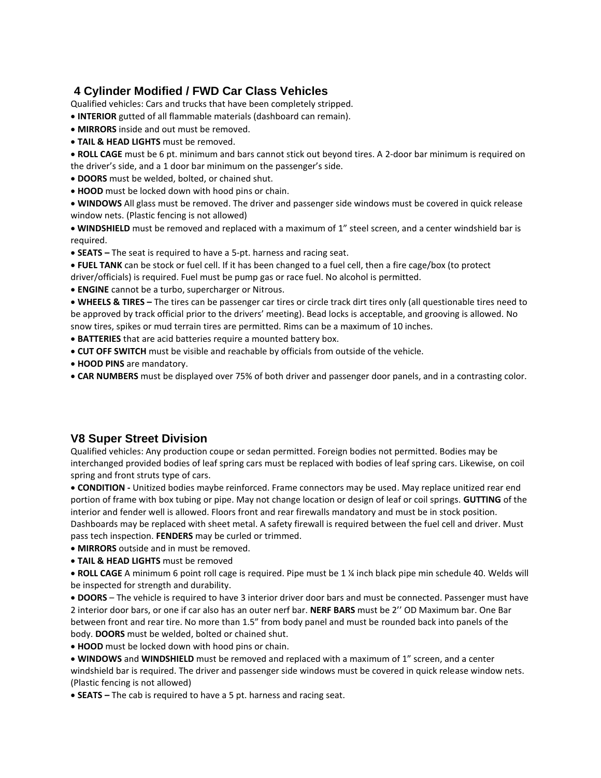# **4 Cylinder Modified / FWD Car Class Vehicles**

Qualified vehicles: Cars and trucks that have been completely stripped.

- **INTERIOR** gutted of all flammable materials (dashboard can remain).
- **MIRRORS** inside and out must be removed.
- **TAIL & HEAD LIGHTS** must be removed.

• **ROLL CAGE** must be 6 pt. minimum and bars cannot stick out beyond tires. A 2-door bar minimum is required on the driver's side, and a 1 door bar minimum on the passenger's side.

- **DOORS** must be welded, bolted, or chained shut.
- **HOOD** must be locked down with hood pins or chain.

• **WINDOWS** All glass must be removed. The driver and passenger side windows must be covered in quick release window nets. (Plastic fencing is not allowed)

• **WINDSHIELD** must be removed and replaced with a maximum of 1" steel screen, and a center windshield bar is required.

- **SEATS –** The seat is required to have a 5-pt. harness and racing seat.
- **FUEL TANK** can be stock or fuel cell. If it has been changed to a fuel cell, then a fire cage/box (to protect driver/officials) is required. Fuel must be pump gas or race fuel. No alcohol is permitted.
- **ENGINE** cannot be a turbo, supercharger or Nitrous.

• **WHEELS & TIRES –** The tires can be passenger car tires or circle track dirt tires only (all questionable tires need to be approved by track official prior to the drivers' meeting). Bead locks is acceptable, and grooving is allowed. No snow tires, spikes or mud terrain tires are permitted. Rims can be a maximum of 10 inches.

- **BATTERIES** that are acid batteries require a mounted battery box.
- **CUT OFF SWITCH** must be visible and reachable by officials from outside of the vehicle.
- **HOOD PINS** are mandatory.
- **CAR NUMBERS** must be displayed over 75% of both driver and passenger door panels, and in a contrasting color.

# **V8 Super Street Division**

Qualified vehicles: Any production coupe or sedan permitted. Foreign bodies not permitted. Bodies may be interchanged provided bodies of leaf spring cars must be replaced with bodies of leaf spring cars. Likewise, on coil spring and front struts type of cars.

• **CONDITION -** Unitized bodies maybe reinforced. Frame connectors may be used. May replace unitized rear end portion of frame with box tubing or pipe. May not change location or design of leaf or coil springs. **GUTTING** of the interior and fender well is allowed. Floors front and rear firewalls mandatory and must be in stock position. Dashboards may be replaced with sheet metal. A safety firewall is required between the fuel cell and driver. Must pass tech inspection. **FENDERS** may be curled or trimmed.

- **MIRRORS** outside and in must be removed.
- **TAIL & HEAD LIGHTS** must be removed

• **ROLL CAGE** A minimum 6 point roll cage is required. Pipe must be 1 ¼ inch black pipe min schedule 40. Welds will be inspected for strength and durability.

• **DOORS** – The vehicle is required to have 3 interior driver door bars and must be connected. Passenger must have 2 interior door bars, or one if car also has an outer nerf bar. **NERF BARS** must be 2'' OD Maximum bar. One Bar between front and rear tire. No more than 1.5" from body panel and must be rounded back into panels of the body. **DOORS** must be welded, bolted or chained shut.

• **HOOD** must be locked down with hood pins or chain.

• **WINDOWS** and **WINDSHIELD** must be removed and replaced with a maximum of 1" screen, and a center windshield bar is required. The driver and passenger side windows must be covered in quick release window nets. (Plastic fencing is not allowed)

• **SEATS –** The cab is required to have a 5 pt. harness and racing seat.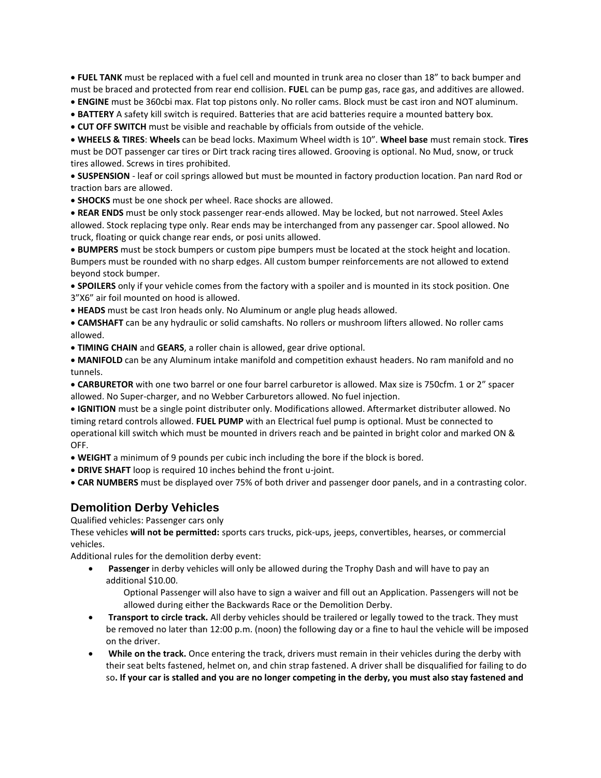• **FUEL TANK** must be replaced with a fuel cell and mounted in trunk area no closer than 18" to back bumper and must be braced and protected from rear end collision. **FUE**L can be pump gas, race gas, and additives are allowed.

- **ENGINE** must be 360cbi max. Flat top pistons only. No roller cams. Block must be cast iron and NOT aluminum.
- **BATTERY** A safety kill switch is required. Batteries that are acid batteries require a mounted battery box.

• **CUT OFF SWITCH** must be visible and reachable by officials from outside of the vehicle.

• **WHEELS & TIRES**: **Wheels** can be bead locks. Maximum Wheel width is 10". **Wheel base** must remain stock. **Tires**  must be DOT passenger car tires or Dirt track racing tires allowed. Grooving is optional. No Mud, snow, or truck tires allowed. Screws in tires prohibited.

• **SUSPENSION** - leaf or coil springs allowed but must be mounted in factory production location. Pan nard Rod or traction bars are allowed.

• **SHOCKS** must be one shock per wheel. Race shocks are allowed.

• **REAR ENDS** must be only stock passenger rear-ends allowed. May be locked, but not narrowed. Steel Axles allowed. Stock replacing type only. Rear ends may be interchanged from any passenger car. Spool allowed. No truck, floating or quick change rear ends, or posi units allowed.

• **BUMPERS** must be stock bumpers or custom pipe bumpers must be located at the stock height and location. Bumpers must be rounded with no sharp edges. All custom bumper reinforcements are not allowed to extend beyond stock bumper.

• **SPOILERS** only if your vehicle comes from the factory with a spoiler and is mounted in its stock position. One 3"X6" air foil mounted on hood is allowed.

• **HEADS** must be cast Iron heads only. No Aluminum or angle plug heads allowed.

• **CAMSHAFT** can be any hydraulic or solid camshafts. No rollers or mushroom lifters allowed. No roller cams allowed.

• **TIMING CHAIN** and **GEARS**, a roller chain is allowed, gear drive optional.

• **MANIFOLD** can be any Aluminum intake manifold and competition exhaust headers. No ram manifold and no tunnels.

• **CARBURETOR** with one two barrel or one four barrel carburetor is allowed. Max size is 750cfm. 1 or 2" spacer allowed. No Super-charger, and no Webber Carburetors allowed. No fuel injection.

• **IGNITION** must be a single point distributer only. Modifications allowed. Aftermarket distributer allowed. No timing retard controls allowed. **FUEL PUMP** with an Electrical fuel pump is optional. Must be connected to operational kill switch which must be mounted in drivers reach and be painted in bright color and marked ON & OFF.

• **WEIGHT** a minimum of 9 pounds per cubic inch including the bore if the block is bored.

- **DRIVE SHAFT** loop is required 10 inches behind the front u-joint.
- **CAR NUMBERS** must be displayed over 75% of both driver and passenger door panels, and in a contrasting color.

## **Demolition Derby Vehicles**

Qualified vehicles: Passenger cars only

These vehicles **will not be permitted:** sports cars trucks, pick-ups, jeeps, convertibles, hearses, or commercial vehicles.

Additional rules for the demolition derby event:

• **Passenger** in derby vehicles will only be allowed during the Trophy Dash and will have to pay an additional \$10.00.

Optional Passenger will also have to sign a waiver and fill out an Application. Passengers will not be allowed during either the Backwards Race or the Demolition Derby.

- **Transport to circle track.** All derby vehicles should be trailered or legally towed to the track. They must be removed no later than 12:00 p.m. (noon) the following day or a fine to haul the vehicle will be imposed on the driver.
- **While on the track.** Once entering the track, drivers must remain in their vehicles during the derby with their seat belts fastened, helmet on, and chin strap fastened. A driver shall be disqualified for failing to do so**. If your car is stalled and you are no longer competing in the derby, you must also stay fastened and**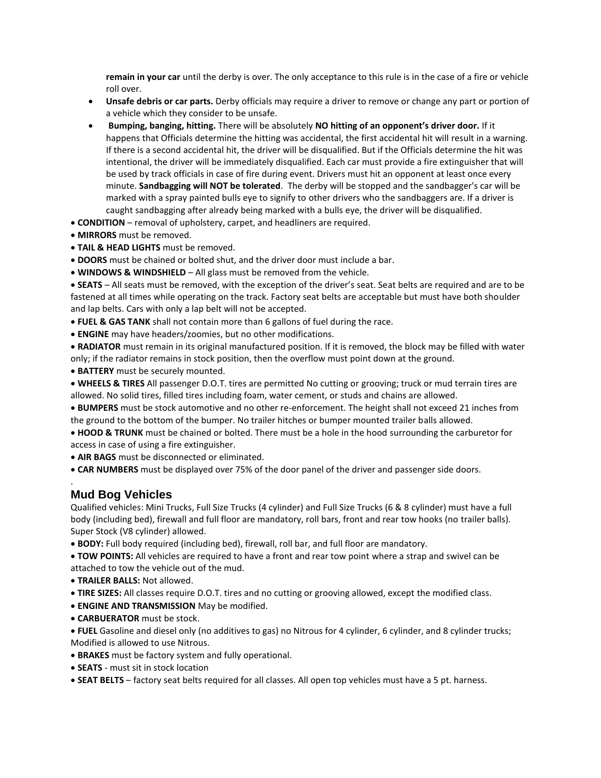**remain in your car** until the derby is over. The only acceptance to this rule is in the case of a fire or vehicle roll over.

- **Unsafe debris or car parts.** Derby officials may require a driver to remove or change any part or portion of a vehicle which they consider to be unsafe.
- **Bumping, banging, hitting.** There will be absolutely **NO hitting of an opponent's driver door.** If it happens that Officials determine the hitting was accidental, the first accidental hit will result in a warning. If there is a second accidental hit, the driver will be disqualified. But if the Officials determine the hit was intentional, the driver will be immediately disqualified. Each car must provide a fire extinguisher that will be used by track officials in case of fire during event. Drivers must hit an opponent at least once every minute. **Sandbagging will NOT be tolerated**. The derby will be stopped and the sandbagger's car will be marked with a spray painted bulls eye to signify to other drivers who the sandbaggers are. If a driver is caught sandbagging after already being marked with a bulls eye, the driver will be disqualified.
- **CONDITION**  removal of upholstery, carpet, and headliners are required.
- **MIRRORS** must be removed.
- **TAIL & HEAD LIGHTS** must be removed.
- **DOORS** must be chained or bolted shut, and the driver door must include a bar.
- **WINDOWS & WINDSHIELD**  All glass must be removed from the vehicle.

• **SEATS** – All seats must be removed, with the exception of the driver's seat. Seat belts are required and are to be fastened at all times while operating on the track. Factory seat belts are acceptable but must have both shoulder and lap belts. Cars with only a lap belt will not be accepted.

- **FUEL & GAS TANK** shall not contain more than 6 gallons of fuel during the race.
- **ENGINE** may have headers/zoomies, but no other modifications.

• **RADIATOR** must remain in its original manufactured position. If it is removed, the block may be filled with water only; if the radiator remains in stock position, then the overflow must point down at the ground.

• **BATTERY** must be securely mounted.

• **WHEELS & TIRES** All passenger D.O.T. tires are permitted No cutting or grooving; truck or mud terrain tires are allowed. No solid tires, filled tires including foam, water cement, or studs and chains are allowed.

• **BUMPERS** must be stock automotive and no other re-enforcement. The height shall not exceed 21 inches from the ground to the bottom of the bumper. No trailer hitches or bumper mounted trailer balls allowed.

• **HOOD & TRUNK** must be chained or bolted. There must be a hole in the hood surrounding the carburetor for access in case of using a fire extinguisher.

• **AIR BAGS** must be disconnected or eliminated.

• **CAR NUMBERS** must be displayed over 75% of the door panel of the driver and passenger side doors.

# **Mud Bog Vehicles**

.

Qualified vehicles: Mini Trucks, Full Size Trucks (4 cylinder) and Full Size Trucks (6 & 8 cylinder) must have a full body (including bed), firewall and full floor are mandatory, roll bars, front and rear tow hooks (no trailer balls). Super Stock (V8 cylinder) allowed.

• **BODY:** Full body required (including bed), firewall, roll bar, and full floor are mandatory.

• **TOW POINTS:** All vehicles are required to have a front and rear tow point where a strap and swivel can be attached to tow the vehicle out of the mud.

• **TRAILER BALLS:** Not allowed.

- **TIRE SIZES:** All classes require D.O.T. tires and no cutting or grooving allowed, except the modified class.
- **ENGINE AND TRANSMISSION** May be modified.
- **CARBUERATOR** must be stock.

• **FUEL** Gasoline and diesel only (no additives to gas) no Nitrous for 4 cylinder, 6 cylinder, and 8 cylinder trucks; Modified is allowed to use Nitrous.

- **BRAKES** must be factory system and fully operational.
- **SEATS**  must sit in stock location
- **SEAT BELTS**  factory seat belts required for all classes. All open top vehicles must have a 5 pt. harness.